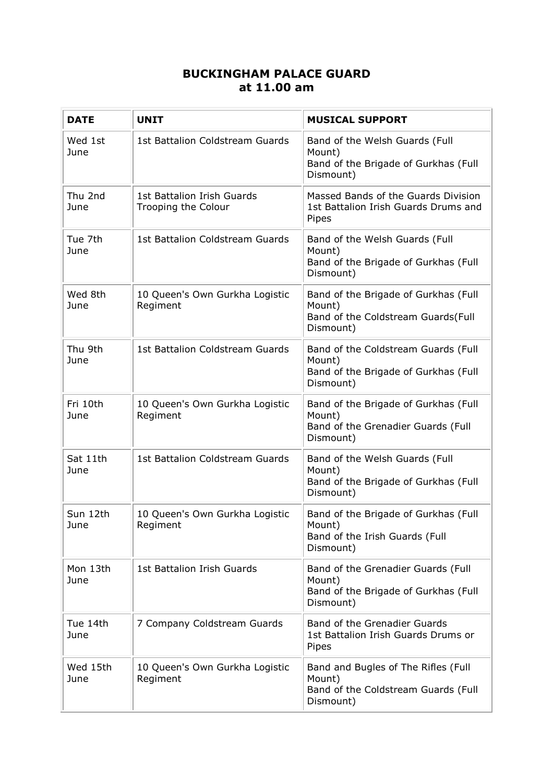## **BUCKINGHAM PALACE GUARD at 11.00 am**

| <b>DATE</b>      | <b>UNIT</b>                                       | <b>MUSICAL SUPPORT</b>                                                                             |
|------------------|---------------------------------------------------|----------------------------------------------------------------------------------------------------|
| Wed 1st<br>June  | 1st Battalion Coldstream Guards                   | Band of the Welsh Guards (Full<br>Mount)<br>Band of the Brigade of Gurkhas (Full<br>Dismount)      |
| Thu 2nd<br>June  | 1st Battalion Irish Guards<br>Trooping the Colour | Massed Bands of the Guards Division<br>1st Battalion Irish Guards Drums and<br>Pipes               |
| Tue 7th<br>June  | 1st Battalion Coldstream Guards                   | Band of the Welsh Guards (Full<br>Mount)<br>Band of the Brigade of Gurkhas (Full<br>Dismount)      |
| Wed 8th<br>June  | 10 Queen's Own Gurkha Logistic<br>Regiment        | Band of the Brigade of Gurkhas (Full<br>Mount)<br>Band of the Coldstream Guards(Full<br>Dismount)  |
| Thu 9th<br>June  | 1st Battalion Coldstream Guards                   | Band of the Coldstream Guards (Full<br>Mount)<br>Band of the Brigade of Gurkhas (Full<br>Dismount) |
| Fri 10th<br>June | 10 Queen's Own Gurkha Logistic<br>Regiment        | Band of the Brigade of Gurkhas (Full<br>Mount)<br>Band of the Grenadier Guards (Full<br>Dismount)  |
| Sat 11th<br>June | 1st Battalion Coldstream Guards                   | Band of the Welsh Guards (Full<br>Mount)<br>Band of the Brigade of Gurkhas (Full<br>Dismount)      |
| Sun 12th<br>June | 10 Queen's Own Gurkha Logistic<br>Regiment        | Band of the Brigade of Gurkhas (Full<br>Mount)<br>Band of the Irish Guards (Full<br>Dismount)      |
| Mon 13th<br>June | 1st Battalion Irish Guards                        | Band of the Grenadier Guards (Full<br>Mount)<br>Band of the Brigade of Gurkhas (Full<br>Dismount)  |
| Tue 14th<br>June | 7 Company Coldstream Guards                       | Band of the Grenadier Guards<br>1st Battalion Irish Guards Drums or<br>Pipes                       |
| Wed 15th<br>June | 10 Queen's Own Gurkha Logistic<br>Regiment        | Band and Bugles of The Rifles (Full<br>Mount)<br>Band of the Coldstream Guards (Full<br>Dismount)  |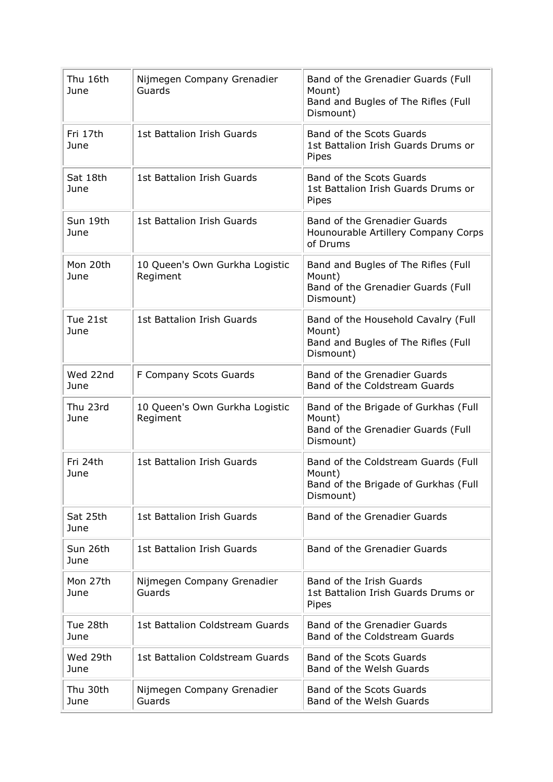| Thu 16th<br>June | Nijmegen Company Grenadier<br>Guards       | Band of the Grenadier Guards (Full<br>Mount)<br>Band and Bugles of The Rifles (Full<br>Dismount)   |
|------------------|--------------------------------------------|----------------------------------------------------------------------------------------------------|
| Fri 17th<br>June | 1st Battalion Irish Guards                 | <b>Band of the Scots Guards</b><br>1st Battalion Irish Guards Drums or<br>Pipes                    |
| Sat 18th<br>June | 1st Battalion Irish Guards                 | <b>Band of the Scots Guards</b><br>1st Battalion Irish Guards Drums or<br>Pipes                    |
| Sun 19th<br>June | 1st Battalion Irish Guards                 | Band of the Grenadier Guards<br>Hounourable Artillery Company Corps<br>of Drums                    |
| Mon 20th<br>June | 10 Queen's Own Gurkha Logistic<br>Regiment | Band and Bugles of The Rifles (Full<br>Mount)<br>Band of the Grenadier Guards (Full<br>Dismount)   |
| Tue 21st<br>June | 1st Battalion Irish Guards                 | Band of the Household Cavalry (Full<br>Mount)<br>Band and Bugles of The Rifles (Full<br>Dismount)  |
| Wed 22nd<br>June | F Company Scots Guards                     | <b>Band of the Grenadier Guards</b><br>Band of the Coldstream Guards                               |
| Thu 23rd<br>June | 10 Queen's Own Gurkha Logistic<br>Regiment | Band of the Brigade of Gurkhas (Full<br>Mount)<br>Band of the Grenadier Guards (Full<br>Dismount)  |
| Fri 24th<br>June | 1st Battalion Irish Guards                 | Band of the Coldstream Guards (Full<br>Mount)<br>Band of the Brigade of Gurkhas (Full<br>Dismount) |
| Sat 25th<br>June | 1st Battalion Irish Guards                 | <b>Band of the Grenadier Guards</b>                                                                |
| Sun 26th<br>June | 1st Battalion Irish Guards                 | Band of the Grenadier Guards                                                                       |
| Mon 27th<br>June | Nijmegen Company Grenadier<br>Guards       | Band of the Irish Guards<br>1st Battalion Irish Guards Drums or<br>Pipes                           |
| Tue 28th<br>June | 1st Battalion Coldstream Guards            | <b>Band of the Grenadier Guards</b><br>Band of the Coldstream Guards                               |
| Wed 29th<br>June | 1st Battalion Coldstream Guards            | <b>Band of the Scots Guards</b><br>Band of the Welsh Guards                                        |
| Thu 30th<br>June | Nijmegen Company Grenadier<br>Guards       | Band of the Scots Guards<br>Band of the Welsh Guards                                               |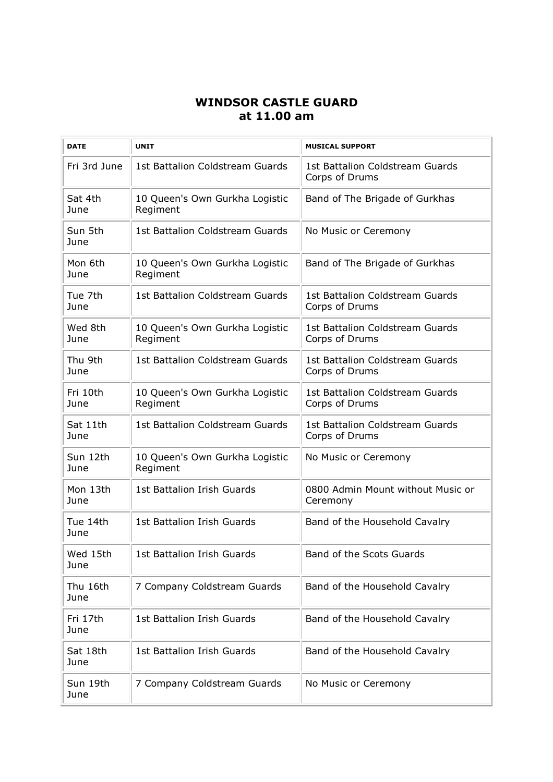## **WINDSOR CASTLE GUARD at 11.00 am**

| <b>DATE</b>      | <b>UNIT</b>                                | <b>MUSICAL SUPPORT</b>                            |
|------------------|--------------------------------------------|---------------------------------------------------|
| Fri 3rd June     | 1st Battalion Coldstream Guards            | 1st Battalion Coldstream Guards<br>Corps of Drums |
| Sat 4th<br>June  | 10 Queen's Own Gurkha Logistic<br>Regiment | Band of The Brigade of Gurkhas                    |
| Sun 5th<br>June  | 1st Battalion Coldstream Guards            | No Music or Ceremony                              |
| Mon 6th<br>June  | 10 Queen's Own Gurkha Logistic<br>Regiment | Band of The Brigade of Gurkhas                    |
| Tue 7th<br>June  | 1st Battalion Coldstream Guards            | 1st Battalion Coldstream Guards<br>Corps of Drums |
| Wed 8th<br>June  | 10 Queen's Own Gurkha Logistic<br>Regiment | 1st Battalion Coldstream Guards<br>Corps of Drums |
| Thu 9th<br>June  | 1st Battalion Coldstream Guards            | 1st Battalion Coldstream Guards<br>Corps of Drums |
| Fri 10th<br>June | 10 Queen's Own Gurkha Logistic<br>Regiment | 1st Battalion Coldstream Guards<br>Corps of Drums |
| Sat 11th<br>June | 1st Battalion Coldstream Guards            | 1st Battalion Coldstream Guards<br>Corps of Drums |
| Sun 12th<br>June | 10 Queen's Own Gurkha Logistic<br>Regiment | No Music or Ceremony                              |
| Mon 13th<br>June | 1st Battalion Irish Guards                 | 0800 Admin Mount without Music or<br>Ceremony     |
| Tue 14th<br>June | 1st Battalion Irish Guards                 | Band of the Household Cavalry                     |
| Wed 15th<br>June | 1st Battalion Irish Guards                 | Band of the Scots Guards                          |
| Thu 16th<br>June | 7 Company Coldstream Guards                | Band of the Household Cavalry                     |
| Fri 17th<br>June | 1st Battalion Irish Guards                 | Band of the Household Cavalry                     |
| Sat 18th<br>June | 1st Battalion Irish Guards                 | Band of the Household Cavalry                     |
| Sun 19th<br>June | 7 Company Coldstream Guards                | No Music or Ceremony                              |